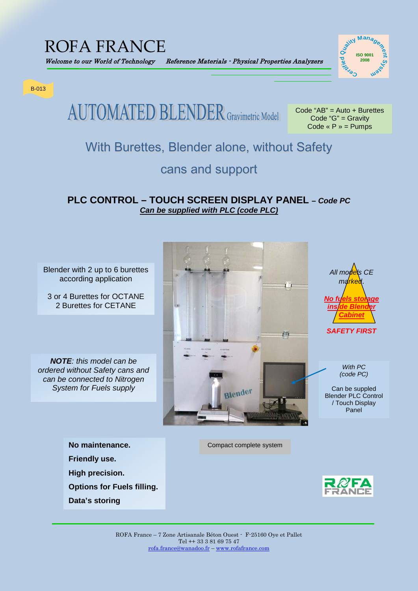## ROFA FRANCE



B-013

**AUTOMATED BLENDER** Gravimetric Model

Code "AB" = Auto + Burettes Code "G" = Gravity Code «  $P$  » = Pumps

### With Burettes, Blender alone, without Safety

### cans and support

#### **PLC CONTROL – TOUCH SCREEN DISPLAY PANEL –** *Code PC Can be supplied with PLC (code PLC)*